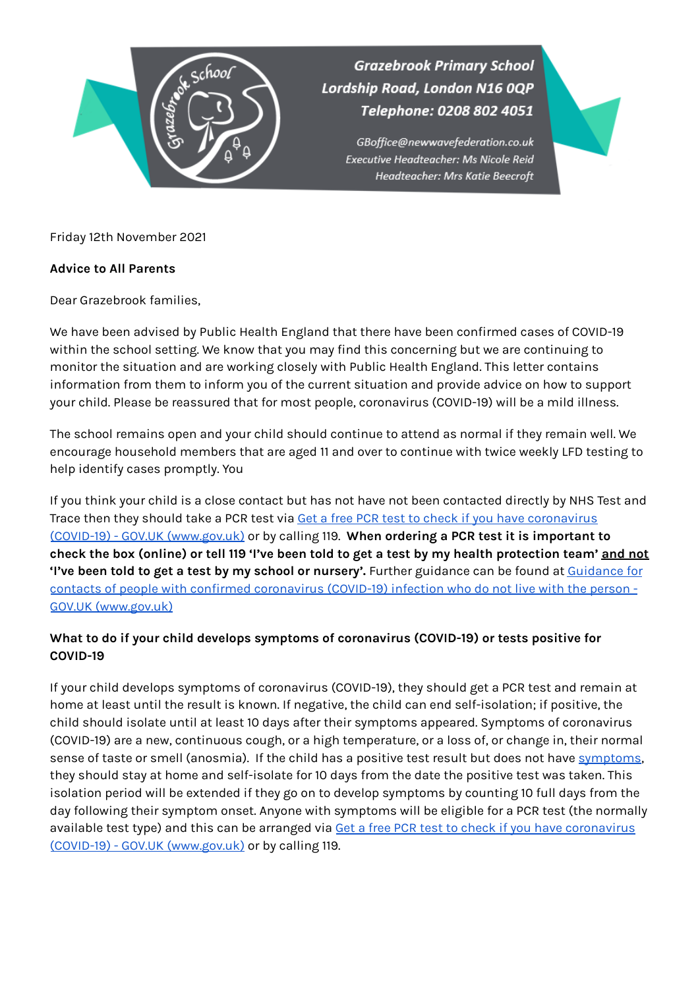

**Grazebrook Primary School** Lordship Road, London N16 0QP Telephone: 0208 802 4051

> GBoffice@newwavefederation.co.uk Executive Headteacher: Ms Nicole Reid Headteacher: Mrs Katie Beecroft

Friday 12th November 2021

## **Advice to All Parents**

Dear Grazebrook families,

We have been advised by Public Health England that there have been confirmed cases of COVID-19 within the school setting. We know that you may find this concerning but we are continuing to monitor the situation and are working closely with Public Health England. This letter contains information from them to inform you of the current situation and provide advice on how to support your child. Please be reassured that for most people, coronavirus (COVID-19) will be a mild illness.

The school remains open and your child should continue to attend as normal if they remain well. We encourage household members that are aged 11 and over to continue with twice weekly LFD testing to help identify cases promptly. You

If you think your child is a close contact but has not have not been contacted directly by NHS Test and Trace then they should take a PCR test via Get a free PCR test to check if you have [coronavirus](https://www.gov.uk/get-coronavirus-test) (COVID-19) - GOV.UK [\(www.gov.uk\)](https://www.gov.uk/get-coronavirus-test) or by calling 119. **When ordering a PCR test it is important to** check the box (online) or tell 119 'I've been told to get a test by my health protection team' and not **'I've been told to get a test by my school or nursery'.** Further guidance can be found at [Guidance](https://www.gov.uk/government/publications/guidance-for-contacts-of-people-with-possible-or-confirmed-coronavirus-covid-19-infection-who-do-not-live-with-the-person/guidance-for-contacts-of-people-with-possible-or-confirmed-coronavirus-covid-19-infection-who-do-not-live-with-the-person#i-think-i-have-had-contact-with-someone-who-has-tested-positive-for-covid-19-but-i-have-not-been-notified-and-advised-to-self-isolate-what-should-i-do) for contacts of people with confirmed [coronavirus](https://www.gov.uk/government/publications/guidance-for-contacts-of-people-with-possible-or-confirmed-coronavirus-covid-19-infection-who-do-not-live-with-the-person/guidance-for-contacts-of-people-with-possible-or-confirmed-coronavirus-covid-19-infection-who-do-not-live-with-the-person#i-think-i-have-had-contact-with-someone-who-has-tested-positive-for-covid-19-but-i-have-not-been-notified-and-advised-to-self-isolate-what-should-i-do) (COVID-19) infection who do not live with the person - GOV.UK [\(www.gov.uk\)](https://www.gov.uk/government/publications/guidance-for-contacts-of-people-with-possible-or-confirmed-coronavirus-covid-19-infection-who-do-not-live-with-the-person/guidance-for-contacts-of-people-with-possible-or-confirmed-coronavirus-covid-19-infection-who-do-not-live-with-the-person#i-think-i-have-had-contact-with-someone-who-has-tested-positive-for-covid-19-but-i-have-not-been-notified-and-advised-to-self-isolate-what-should-i-do)

## **What to do if your child develops symptoms of coronavirus (COVID-19) or tests positive for COVID-19**

If your child develops symptoms of coronavirus (COVID-19), they should get a PCR test and remain at home at least until the result is known. If negative, the child can end self-isolation; if positive, the child should isolate until at least 10 days after their symptoms appeared. Symptoms of coronavirus (COVID-19) are a new, continuous cough, or a high temperature, or a loss of, or change in, their normal sense of taste or smell (anosmia). If the child has a positive test result but does not have [symptoms](https://www.gov.uk/government/publications/covid-19-stay-at-home-guidance/stay-at-home-guidance-for-households-with-possible-coronavirus-covid-19-infection#symptoms), they should stay at home and self-isolate for 10 days from the date the positive test was taken. This isolation period will be extended if they go on to develop symptoms by counting 10 full days from the day following their symptom onset. Anyone with symptoms will be eligible for a PCR test (the normally available test type) and this can be arranged via Get a free PCR test to check if you have [coronavirus](https://www.gov.uk/get-coronavirus-test) (COVID-19) - GOV.UK [\(www.gov.uk\)](https://www.gov.uk/get-coronavirus-test) or by calling 119.